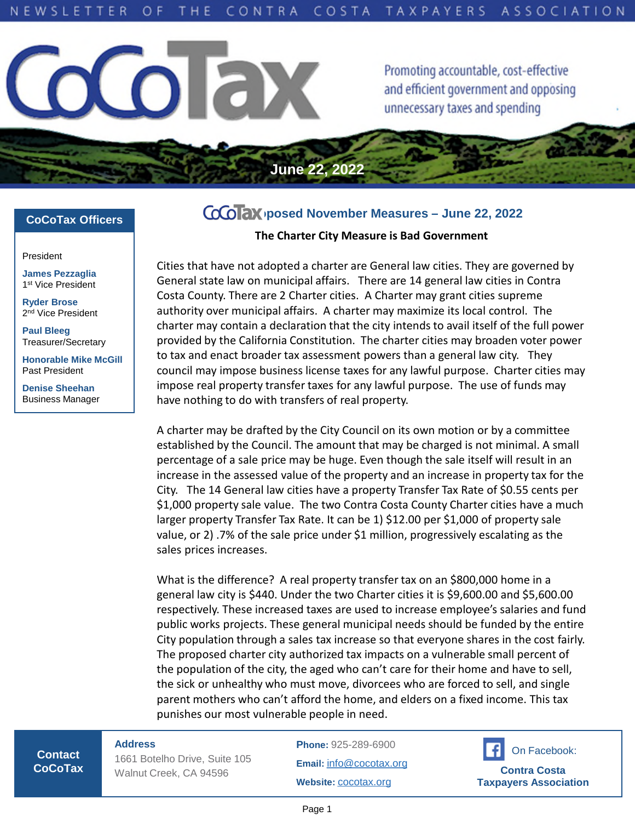**June 22, 2022**



Promoting accountable, cost-effective and efficient government and opposing unnecessary taxes and spending

## **CoCoTax Officers**

President

**James Pezzaglia** 1 st Vice President

**Ryder Brose** 2<sup>nd</sup> Vice President

**Paul Bleeg** Treasurer/Secretary

**Honorable Mike McGill** Past President

**Denise Sheehan** Business Manager

# **Proposed November Measures – June 22, 2022**

**The Charter City Measure is Bad Government**

Cities that have not adopted a charter are General law cities. They are governed by General state law on municipal affairs. There are 14 general law cities in Contra Costa County. There are 2 Charter cities. A Charter may grant cities supreme authority over municipal affairs. A charter may maximize its local control. The charter may contain a declaration that the city intends to avail itself of the full power provided by the California Constitution. The charter cities may broaden voter power to tax and enact broader tax assessment powers than a general law city. They council may impose business license taxes for any lawful purpose. Charter cities may impose real property transfer taxes for any lawful purpose. The use of funds may have nothing to do with transfers of real property.

A charter may be drafted by the City Council on its own motion or by a committee established by the Council. The amount that may be charged is not minimal. A small percentage of a sale price may be huge. Even though the sale itself will result in an increase in the assessed value of the property and an increase in property tax for the City. The 14 General law cities have a property Transfer Tax Rate of \$0.55 cents per \$1,000 property sale value. The two Contra Costa County Charter cities have a much larger property Transfer Tax Rate. It can be 1) \$12.00 per \$1,000 of property sale value, or 2) .7% of the sale price under \$1 million, progressively escalating as the sales prices increases.

What is the difference? A real property transfer tax on an \$800,000 home in a general law city is \$440. Under the two Charter cities it is \$9,600.00 and \$5,600.00 respectively. These increased taxes are used to increase employee's salaries and fund public works projects. These general municipal needs should be funded by the entire City population through a sales tax increase so that everyone shares in the cost fairly. The proposed charter city authorized tax impacts on a vulnerable small percent of the population of the city, the aged who can't care for their home and have to sell, the sick or unhealthy who must move, divorcees who are forced to sell, and single parent mothers who can't afford the home, and elders on a fixed income. This tax punishes our most vulnerable people in need.

**Contact CoCoTax** **Address**

1661 Botelho Drive, Suite 105 Walnut Creek, CA 94596

**Phone:** 925-289-6900 **Email:** [info@cocotax.org](mailto:info@cocotax.org) **Website:** [cocotax.org](https://www.cocotax.org/)

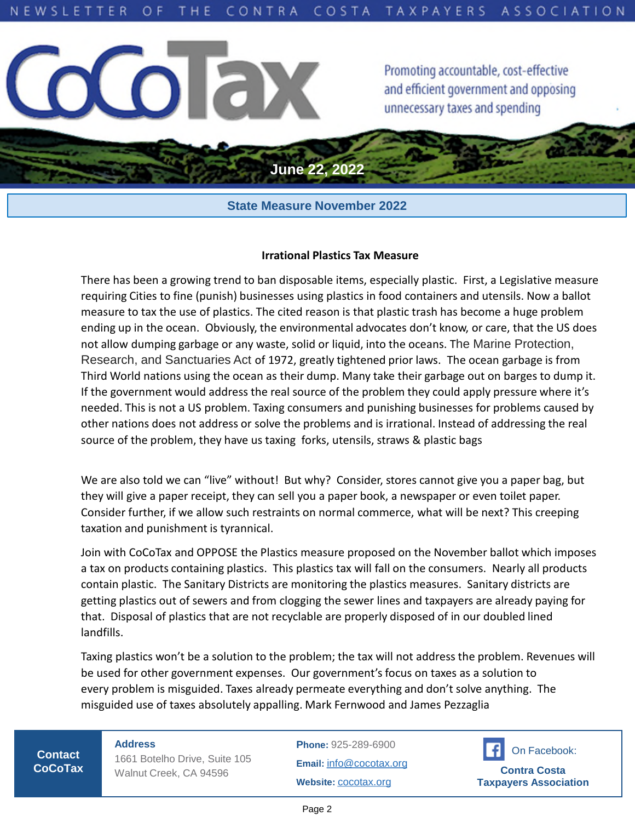

# **State Measure November 2022**

#### **Irrational Plastics Tax Measure**

There has been a growing trend to ban disposable items, especially plastic. First, a Legislative measure requiring Cities to fine (punish) businesses using plastics in food containers and utensils. Now a ballot measure to tax the use of plastics. The cited reason is that plastic trash has become a huge problem ending up in the ocean. Obviously, the environmental advocates don't know, or care, that the US does not allow dumping garbage or any waste, solid or liquid, into the oceans. The Marine Protection, Research, and Sanctuaries Act of 1972, greatly tightened prior laws. The ocean garbage is from Third World nations using the ocean as their dump. Many take their garbage out on barges to dump it. If the government would address the real source of the problem they could apply pressure where it's needed. This is not a US problem. Taxing consumers and punishing businesses for problems caused by other nations does not address or solve the problems and is irrational. Instead of addressing the real source of the problem, they have us taxing forks, utensils, straws & plastic bags

We are also told we can "live" without! But why? Consider, stores cannot give you a paper bag, but they will give a paper receipt, they can sell you a paper book, a newspaper or even toilet paper. Consider further, if we allow such restraints on normal commerce, what will be next? This creeping taxation and punishment is tyrannical.

Join with CoCoTax and OPPOSE the Plastics measure proposed on the November ballot which imposes a tax on products containing plastics. This plastics tax will fall on the consumers. Nearly all products contain plastic. The Sanitary Districts are monitoring the plastics measures. Sanitary districts are getting plastics out of sewers and from clogging the sewer lines and taxpayers are already paying for that. Disposal of plastics that are not recyclable are properly disposed of in our doubled lined landfills.

Taxing plastics won't be a solution to the problem; the tax will not address the problem. Revenues will be used for other government expenses. Our government's focus on taxes as a solution to every problem is misguided. Taxes already permeate everything and don't solve anything. The misguided use of taxes absolutely appalling. Mark Fernwood and James Pezzaglia

**Contact CoCoTax** **Address** 1661 Botelho Drive, Suite 105 Walnut Creek, CA 94596

**Phone:** 925-289-6900 **Email:** [info@cocotax.org](mailto:info@cocotax.org) **Website:** [cocotax.org](https://www.cocotax.org/)